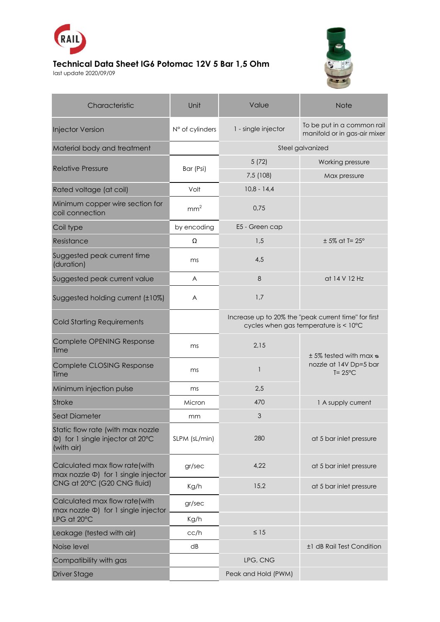

## **Technical Data Sheet IG6 Potomac 12V 5 Bar 1,5 Ohm**

last update 2020/09/09



| Characteristic                                                                                              | Unit            | Value                                                                                         | <b>Note</b>                                                                       |
|-------------------------------------------------------------------------------------------------------------|-----------------|-----------------------------------------------------------------------------------------------|-----------------------------------------------------------------------------------|
| <b>Injector Version</b>                                                                                     | N° of cylinders | 1 - single injector                                                                           | To be put in a common rail<br>manifold or in gas-air mixer                        |
| Material body and treatment                                                                                 |                 | Steel galvanized                                                                              |                                                                                   |
| <b>Relative Pressure</b>                                                                                    | Bar (Psi)       | 5(72)                                                                                         | Working pressure                                                                  |
|                                                                                                             |                 | 7,5 (108)                                                                                     | Max pressure                                                                      |
| Rated voltage (at coil)                                                                                     | Volt            | $10,8 - 14,4$                                                                                 |                                                                                   |
| Minimum copper wire section for<br>coil connection                                                          | mm <sup>2</sup> | 0,75                                                                                          |                                                                                   |
| Coil type                                                                                                   | by encoding     | E5 - Green cap                                                                                |                                                                                   |
| Resistance                                                                                                  | Ω               | 1,5                                                                                           | $± 5\%$ at T= 25°                                                                 |
| Suggested peak current time<br>(duration)                                                                   | ms              | 4,5                                                                                           |                                                                                   |
| Suggested peak current value                                                                                | A               | 8                                                                                             | at 14 V 12 Hz                                                                     |
| Suggested holding current (±10%)                                                                            | A               | 1,7                                                                                           |                                                                                   |
| <b>Cold Starting Requirements</b>                                                                           |                 | Increase up to 20% the "peak current time" for first<br>cycles when gas temperature is < 10°C |                                                                                   |
| Complete OPENING Response<br>Time                                                                           | ms              | 2,15                                                                                          | $\pm$ 5% tested with max $\infty$<br>nozzle at 14V Dp=5 bar<br>$T = 25^{\circ}$ C |
| Complete CLOSING Response<br>Time                                                                           | ms              | $\mathbf{1}$                                                                                  |                                                                                   |
| Minimum injection pulse                                                                                     | ms              | 2,5                                                                                           |                                                                                   |
| <b>Stroke</b>                                                                                               | Micron          | 470                                                                                           | 1 A supply current                                                                |
| <b>Seat Diameter</b>                                                                                        | mm              | 3                                                                                             |                                                                                   |
| Static flow rate (with max nozzle<br>$\Phi$ ) for 1 single injector at 20 $\degree$ C<br>(with air)         | SLPM (sL/min)   | 280                                                                                           | at 5 bar inlet pressure                                                           |
| Calculated max flow rate(with<br>$max$ nozzle $\Phi$ ) for 1 single injector<br>CNG at 20°C (G20 CNG fluid) | gr/sec          | 4,22                                                                                          | at 5 bar inlet pressure                                                           |
|                                                                                                             | Kg/h            | 15,2                                                                                          | at 5 bar inlet pressure                                                           |
| Calculated max flow rate(with<br>max nozzle $\Phi$ ) for 1 single injector<br>LPG at 20°C                   | gr/sec          |                                                                                               |                                                                                   |
|                                                                                                             | Kg/h            |                                                                                               |                                                                                   |
| Leakage (tested with air)                                                                                   | cc/h            | $\leq 15$                                                                                     |                                                                                   |
| Noise level                                                                                                 | dB              |                                                                                               | ±1 dB Rail Test Condition                                                         |
| Compatibility with gas                                                                                      |                 | LPG, CNG                                                                                      |                                                                                   |
| <b>Driver Stage</b>                                                                                         |                 | Peak and Hold (PWM)                                                                           |                                                                                   |